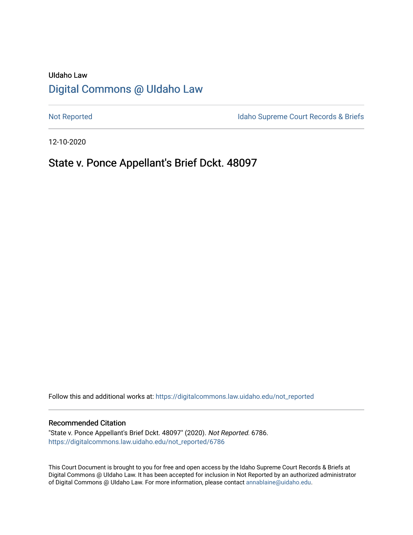# UIdaho Law [Digital Commons @ UIdaho Law](https://digitalcommons.law.uidaho.edu/)

[Not Reported](https://digitalcommons.law.uidaho.edu/not_reported) **Idaho Supreme Court Records & Briefs** 

12-10-2020

# State v. Ponce Appellant's Brief Dckt. 48097

Follow this and additional works at: [https://digitalcommons.law.uidaho.edu/not\\_reported](https://digitalcommons.law.uidaho.edu/not_reported?utm_source=digitalcommons.law.uidaho.edu%2Fnot_reported%2F6786&utm_medium=PDF&utm_campaign=PDFCoverPages) 

#### Recommended Citation

"State v. Ponce Appellant's Brief Dckt. 48097" (2020). Not Reported. 6786. [https://digitalcommons.law.uidaho.edu/not\\_reported/6786](https://digitalcommons.law.uidaho.edu/not_reported/6786?utm_source=digitalcommons.law.uidaho.edu%2Fnot_reported%2F6786&utm_medium=PDF&utm_campaign=PDFCoverPages)

This Court Document is brought to you for free and open access by the Idaho Supreme Court Records & Briefs at Digital Commons @ UIdaho Law. It has been accepted for inclusion in Not Reported by an authorized administrator of Digital Commons @ UIdaho Law. For more information, please contact [annablaine@uidaho.edu](mailto:annablaine@uidaho.edu).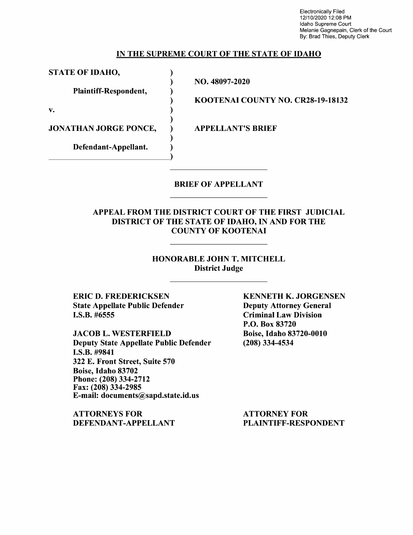Electronically Filed 12/10/2020 12:08 PM Idaho Supreme Court Melanie Gagnepain, Clerk of the Court By: Brad Thies, Deputy Clerk

#### IN THE SUPREME COURT OF THE STATE OF IDAHO

STATE OF IDAHO,

Plaintiff-Respondent,

 $\mathbf{v.}$  )

JONATHAN JORGE PONCE,

Defendant-Appellant.

NO. 48097-2020

)

)

)

)

KOOTENAI COUNTY NO. CR28-19-18132

APPELLANT'S BRIEF

#### BRIEF OF APPELLANT

### APPEAL FROM THE DISTRICT COURT OF THE FIRST JUDICIAL DISTRICT OF THE STATE OF IDAHO, IN AND FOR THE COUNTY OF KOOTENAI

#### HONORABLE JOHN T. MITCHELL District Judge

ERIC D. FREDERICKSEN State Appellate Public Defender I.S.B. #6555

JACOB L. WESTERFIELD Deputy State Appellate Public Defender I.S.B. #9841 322 E. Front Street, Suite 570 Boise, Idaho 83702 Phone:(208)334-2712 Fax: (208) 334-2985 E-mail: documents@sapd.state.id.us

ATTORNEYS FOR DEFENDANT-APPELLANT KENNETH K. JORGENSEN Deputy Attorney General Criminal Law Division P.O. Box 83720 Boise, Idaho 83720-0010 (208) 334-4534

ATTORNEY FOR PLAINTIFF-RESPONDENT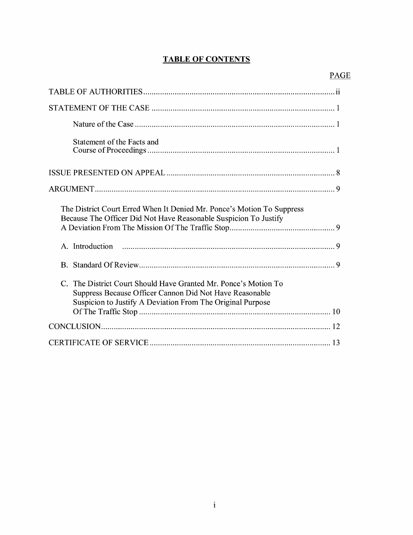# **TABLE OF CONTENTS**

| Statement of the Facts and                                                                                                                                                               |
|------------------------------------------------------------------------------------------------------------------------------------------------------------------------------------------|
|                                                                                                                                                                                          |
|                                                                                                                                                                                          |
| The District Court Erred When It Denied Mr. Ponce's Motion To Suppress<br>Because The Officer Did Not Have Reasonable Suspicion To Justify                                               |
| A. Introduction                                                                                                                                                                          |
|                                                                                                                                                                                          |
| C. The District Court Should Have Granted Mr. Ponce's Motion To<br>Suppress Because Officer Cannon Did Not Have Reasonable<br>Suspicion to Justify A Deviation From The Original Purpose |
|                                                                                                                                                                                          |
|                                                                                                                                                                                          |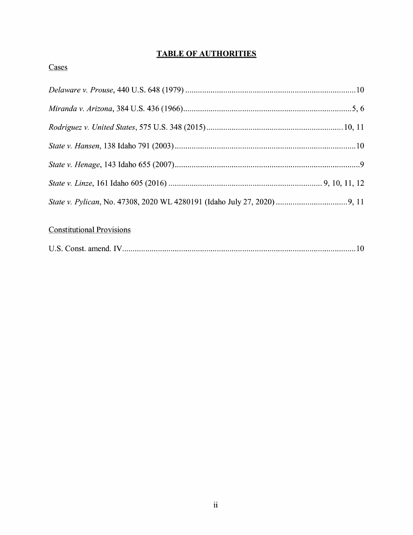# **TABLE OF AUTHORITIES**

### Cases

# Constitutional Provisions

|--|--|--|--|--|--|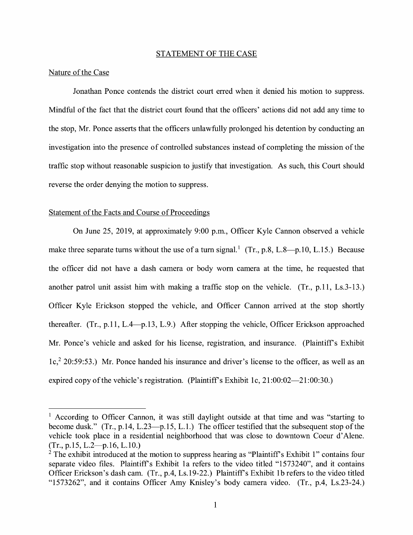#### STATEMENT OF THE CASE

#### Nature of the Case

Jonathan Ponce contends the district court erred when it denied his motion to suppress. Mindful of the fact that the district court found that the officers' actions did not add any time to the stop, Mr. Ponce asserts that the officers unlawfully prolonged his detention by conducting an investigation into the presence of controlled substances instead of completing the mission of the traffic stop without reasonable suspicion to justify that investigation. As such, this Court should reverse the order denying the motion to suppress.

#### Statement of the Facts and Course of Proceedings

On June 25, 2019, at approximately 9:00 p.m., Officer Kyle Cannon observed a vehicle make three separate turns without the use of a turn signal.<sup>1</sup> (Tr., p.8, L.8-p.10, L.15.) Because the officer did not have a dash camera or body worn camera at the time, he requested that another patrol unit assist him with making a traffic stop on the vehicle. (Tr., p.11, Ls.3-13.) Officer Kyle Erickson stopped the vehicle, and Officer Cannon arrived at the stop shortly thereafter.  $(Tr, p.11, L.4-p.13, L.9)$  After stopping the vehicle, Officer Erickson approached Mr. Ponce's vehicle and asked for his license, registration, and insurance. (Plaintiffs Exhibit lc,2 20:59:53.) Mr. Ponce handed his insurance and driver's license to the officer, as well as an expired copy of the vehicle's registration. (Plaintiff's Exhibit 1c,  $21:00:02-21:00:30$ .)

<sup>&</sup>lt;sup>1</sup> According to Officer Cannon, it was still daylight outside at that time and was "starting to become dusk." (Tr., p.14, L.23-p.15, L.1.) The officer testified that the subsequent stop of the vehicle took place in a residential neighborhood that was close to downtown Coeur d'Alene.  $(Tr., p.15, L.2 \rightarrow p.16, L.10.)$ 

 $2^2$  The exhibit introduced at the motion to suppress hearing as "Plaintiff's Exhibit 1" contains four separate video files. Plaintiff's Exhibit 1a refers to the video titled "1573240", and it contains Officer Erickson's dash cam. (Tr., p.4, Ls.19-22.) Plaintiff's Exhibit 1b refers to the video titled "1573262", and it contains Officer Amy Knisley's body camera video. (Tr., p.4, Ls.23-24.)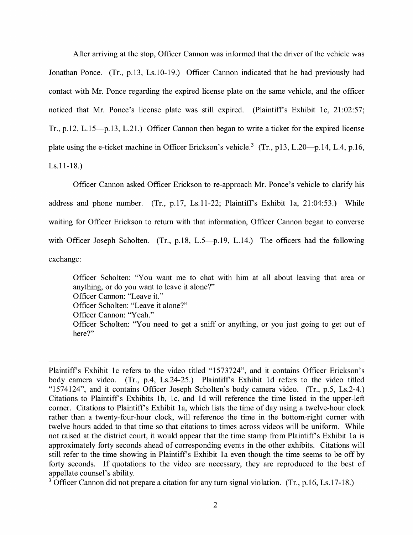After arriving at the stop, Officer Cannon was informed that the driver of the vehicle was Jonathan Ponce. (Tr., p.13, Ls.10-19.) Officer Cannon indicated that he had previously had contact with Mr. Ponce regarding the expired license plate on the same vehicle, and the officer noticed that Mr. Ponce's license plate was still expired. (Plaintiff's Exhibit 1c, 21:02:57; Tr., p.12, L.15-p.13, L.21.) Officer Cannon then began to write a ticket for the expired license plate using the e-ticket machine in Officer Erickson's vehicle.<sup>3</sup> (Tr., p13, L.20—p.14, L.4, p.16, Ls.11-18.)

Officer Cannon asked Officer Erickson to re-approach Mr. Ponce's vehicle to clarify his address and phone number. (Tr., p.17, Ls.11-22; Plaintiffs Exhibit la, 21:04:53.) While waiting for Officer Erickson to return with that information, Officer Cannon began to converse with Officer Joseph Scholten. (Tr., p.18, L.5-p.19, L.14.) The officers had the following exchange:

Officer Scholten: "You want me to chat with him at all about leaving that area or anything, or do you want to leave it alone?" Officer Cannon: "Leave it." Officer Scholten: "Leave it alone?" Officer Cannon: "Yeah." Officer Scholten: "You need to get a sniff or anything, or you just going to get out of here?"

Plaintiffs Exhibit le refers to the video titled "1573724", and it contains Officer Erickson's body camera video. (Tr., p.4, Ls.24-25.) Plaintiff's Exhibit 1d refers to the video titled "1574124", and it contains Officer Joseph Scholten's body camera video. (Tr., p.5, Ls.2-4.) Citations to Plaintiffs Exhibits lb, le, and Id will reference the time listed in the upper-left corner. Citations to Plaintiff's Exhibit 1a, which lists the time of day using a twelve-hour clock rather than a twenty-four-hour clock, will reference the time in the bottom-right comer with twelve hours added to that time so that citations to times across videos will be uniform. While not raised at the district court, it would appear that the time stamp from Plaintiff's Exhibit 1a is approximately forty seconds ahead of corresponding events in the other exhibits. Citations will still refer to the time showing in Plaintiff's Exhibit 1a even though the time seems to be off by forty seconds. If quotations to the video are necessary, they are reproduced to the best of appellate counsel's ability.

<sup>3</sup> Officer Cannon did not prepare a citation for any turn signal violation. (Tr., p.16, Ls.17-18.)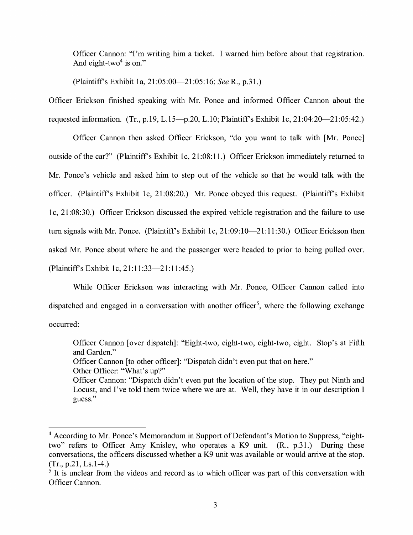Officer Cannon: "I'm writing him a ticket. I warned him before about that registration. And eight-two<sup>4</sup> is on."

(Plaintiffs Exhibit la, 21:05:00-21:05:16; *See* R., p.31.)

Officer Erickson finished speaking with Mr. Ponce and informed Officer Cannon about the requested information. (Tr., p.19, L.15-p.20, L.10; Plaintiff's Exhibit 1c, 21:04:20-21:05:42.)

Officer Cannon then asked Officer Erickson, "do you want to talk with [Mr. Ponce] outside of the car?" (Plaintiffs Exhibit le, 21:08:11.) Officer Erickson immediately returned to Mr. Ponce's vehicle and asked him to step out of the vehicle so that he would talk with the officer. (Plaintiffs Exhibit le, 21 :08:20.) Mr. Ponce obeyed this request. (Plaintiffs Exhibit le, 21 :08:30.) Officer Erickson discussed the expired vehicle registration and the failure to use turn signals with Mr. Ponce. (Plaintiff's Exhibit 1c, 21:09:10-21:11:30.) Officer Erickson then asked Mr. Ponce about where he and the passenger were headed to prior to being pulled over. (Plaintiff's Exhibit 1c, 21:11:33-21:11:45.)

While Officer Erickson was interacting with Mr. Ponce, Officer Cannon called into dispatched and engaged in a conversation with another officer<sup>5</sup>, where the following exchange occurred:

Officer Cannon [over dispatch]: "Eight-two, eight-two, eight-two, eight. Stop's at Fifth and Garden." Officer Cannon [to other officer]: "Dispatch didn't even put that on here." Other Officer: "What's up?" Officer Cannon: "Dispatch didn't even put the location of the stop. They put Ninth and Locust, and I've told them twice where we are at. Well, they have it in our description I guess."

<sup>&</sup>lt;sup>4</sup> According to Mr. Ponce's Memorandum in Support of Defendant's Motion to Suppress, "eighttwo" refers to Officer Amy Knisley, who operates a K9 unit. (R., p.31.) During these conversations, the officers discussed whether a K9 unit was available or would arrive at the stop. (Tr., p.21, Ls.1-4.)

 $<sup>5</sup>$  It is unclear from the videos and record as to which officer was part of this conversation with</sup> Officer Cannon.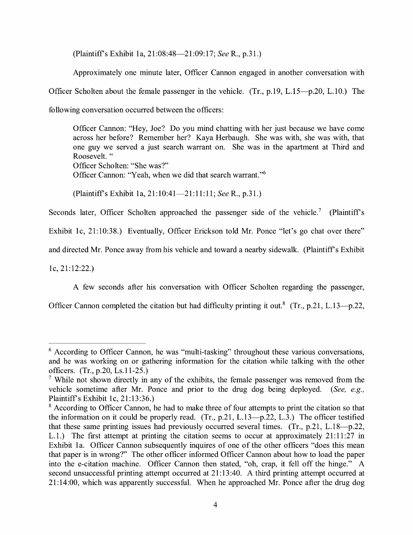(Plaintiff's Exhibit la, 21 :08:48-21 :09: 17; *See* R., p.31.)

Approximately one minute later, Officer Cannon engaged in another conversation with Officer Scholten about the female passenger in the vehicle. (Tr., p.19, L.15-p.20, L.10.) The following conversation occurred between the officers:

Officer Cannon: "Hey, Joe? Do you mind chatting with her just because we have come across her before? Remember her? Kaya Herbaugh. She was with, she was with, that one guy we served a just search warrant on. She was in the apartment at Third and Roosevelt. " Officer Scholten: "She was?"

Officer Cannon: "Yeah, when we did that search warrant. "<sup>6</sup>

(Plaintiff's Exhibit la, 21:10:41-21:11:11; *See* R., p.31.)

Seconds later, Officer Scholten approached the passenger side of the vehicle.<sup>7</sup> (Plaintiff's

Exhibit 1c, 21:10:38.) Eventually, Officer Erickson told Mr. Ponce "let's go chat over there"

and directed Mr. Ponce away from his vehicle and toward a nearby sidewalk. (Plaintiff's Exhibit

le, 21: 12:22.)

A few seconds after his conversation with Officer Scholten regarding the passenger,

Officer Cannon completed the citation but had difficulty printing it out.<sup>8</sup> (Tr., p.21, L.13-p.22,

 $6$  According to Officer Cannon, he was "multi-tasking" throughout these various conversations, and he was working on or gathering information for the citation while talking with the other officers. (Tr., p.20, Ls.11-25.)

<sup>&</sup>lt;sup>7</sup> While not shown directly in any of the exhibits, the female passenger was removed from the vehicle sometime after Mr. Ponce and prior to the drug dog being deployed. *(See, e.g.,*  Plaintiff's Exhibit le, 21:13:36.)

<sup>&</sup>lt;sup>8</sup> According to Officer Cannon, he had to make three of four attempts to print the citation so that the information on it could be properly read. (Tr.,  $p.21$ ,  $L.13-p.22$ ,  $L.3$ .) The officer testified that these same printing issues had previously occurred several times.  $(Tr, p.21, L.18-p.22,$ L.1.) The first attempt at printing the citation seems to occur at approximately 21:11:27 in Exhibit la. Officer Cannon subsequently inquires of one of the other officers "does this mean that paper is in wrong?" The other officer informed Officer Cannon about how to load the paper into the e-citation machine. Officer Cannon then stated, "oh, crap, it fell off the hinge." A second unsuccessful printing attempt occurred at 21:13:40. A third printing attempt occurred at 21: 14:00, which was apparently successful. When he approached Mr. Ponce after the drug dog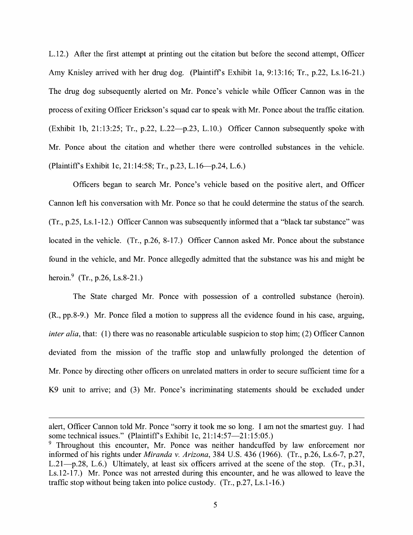L.12.) After the first attempt at printing out the citation but before the second attempt, Officer Amy Knisley arrived with her drug dog. (Plaintiffs Exhibit la, 9:13:16; Tr., p.22, Ls.16-21.) The drug dog subsequently alerted on Mr. Ponce's vehicle while Officer Cannon was in the process of exiting Officer Erickson's squad car to speak with Mr. Ponce about the traffic citation. (Exhibit lb, 21:13:25; Tr., p.22, L.22-p.23, L.10.) Officer Cannon subsequently spoke with Mr. Ponce about the citation and whether there were controlled substances in the vehicle. (Plaintiffs Exhibit le, 21:14:58; Tr., p.23, L.16-p.24, L.6.)

Officers began to search Mr. Ponce's vehicle based on the positive alert, and Officer Cannon left his conversation with Mr. Ponce so that he could determine the status of the search. (Tr., p.25, Ls.1-12.) Officer Cannon was subsequently informed that a "black tar substance" was located in the vehicle. (Tr., p.26, 8-17.) Officer Cannon asked Mr. Ponce about the substance found in the vehicle, and Mr. Ponce allegedly admitted that the substance was his and might be heroin.<sup>9</sup> (Tr., p.26, Ls.8-21.)

The State charged Mr. Ponce with possession of a controlled substance (heroin). (R., pp.8-9.) Mr. Ponce filed a motion to suppress all the evidence found in his case, arguing, *inter alia,* that: (1) there was no reasonable articulable suspicion to stop him; (2) Officer Cannon deviated from the mission of the traffic stop and unlawfully prolonged the detention of Mr. Ponce by directing other officers on unrelated matters in order to secure sufficient time for a K9 unit to arrive; and (3) Mr. Ponce's incriminating statements should be excluded under

alert, Officer Cannon told Mr. Ponce "sorry it took me so long. I am not the smartest guy. I had some technical issues." (Plaintiff's Exhibit 1c, 21:14:57-21:15:05.)

<sup>&</sup>lt;sup>9</sup> Throughout this encounter, Mr. Ponce was neither handcuffed by law enforcement nor informed of his rights under *Miranda v. Arizona,* 384 U.S. 436 (1966). (Tr., p.26, Ls.6-7, p.27, L.21-p.28, L.6.) Ultimately, at least six officers arrived at the scene of the stop. (Tr., p.31, Ls.12-17.) Mr. Ponce was not arrested during this encounter, and he was allowed to leave the traffic stop without being taken into police custody. (Tr., p.27, Ls.1-16.)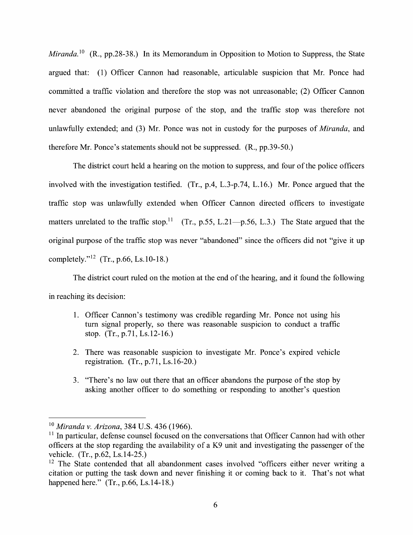*Miranda.* <sup>10</sup> (R., pp.28-38.) In its Memorandum in Opposition to Motion to Suppress, the State argued that: (1) Officer Cannon had reasonable, articulable suspicion that Mr. Ponce had committed a traffic violation and therefore the stop was not unreasonable; (2) Officer Cannon never abandoned the original purpose of the stop, and the traffic stop was therefore not unlawfully extended; and (3) Mr. Ponce was not in custody for the purposes of *Miranda,* and therefore Mr. Ponce's statements should not be suppressed. (R., pp.39-50.)

The district court held a hearing on the motion to suppress, and four of the police officers involved with the investigation testified. (Tr., p.4, L.3-p.74, L.16.) Mr. Ponce argued that the traffic stop was unlawfully extended when Officer Cannon directed officers to investigate matters unrelated to the traffic stop.<sup>11</sup> (Tr., p.55, L.21-p.56, L.3.) The State argued that the original purpose of the traffic stop was never "abandoned" since the officers did not "give it up completely."<sup>12</sup> (Tr., p.66, Ls.10-18.)

The district court ruled on the motion at the end of the hearing, and it found the following in reaching its decision:

- 1. Officer Cannon's testimony was credible regarding Mr. Ponce not using his tum signal properly, so there was reasonable suspicion to conduct a traffic stop. (Tr., p.71, Ls.12-16.)
- 2. There was reasonable suspicion to investigate Mr. Ponce's expired vehicle registration. (Tr., p.71, Ls.16-20.)
- 3. "There's no law out there that an officer abandons the purpose of the stop by asking another officer to do something or responding to another's question

<sup>10</sup>*Miranda v. Arizona,* 384 U.S. 436 (1966).

<sup>&</sup>lt;sup>11</sup> In particular, defense counsel focused on the conversations that Officer Cannon had with other officers at the stop regarding the availability of a K9 unit and investigating the passenger of the vehicle. (Tr., p.62, Ls.14-25.)

<sup>&</sup>lt;sup>12</sup> The State contended that all abandonment cases involved "officers either never writing a citation or putting the task down and never finishing it or coming back to it. That's not what happened here." (Tr., p.66, Ls.14-18.)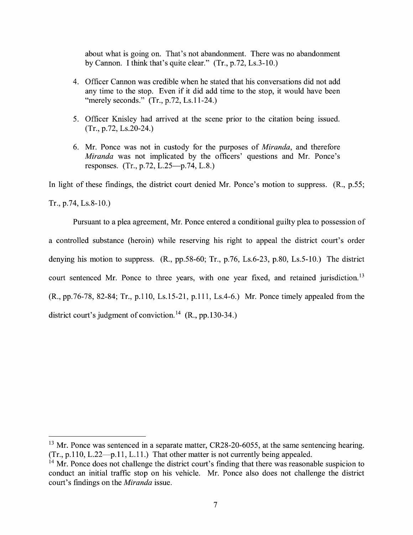about what is going on. That's not abandonment. There was no abandonment by Cannon. I think that's quite clear." (Tr., p.72, Ls.3-10.)

- 4. Officer Cannon was credible when he stated that his conversations did not add any time to the stop. Even if it did add time to the stop, it would have been "merely seconds." (Tr., p.72, Ls.11-24.)
- 5. Officer Knisley had arrived at the scene prior to the citation being issued. (Tr., p.72, Ls.20-24.)
- 6. Mr. Ponce was not in custody for the purposes of *Miranda,* and therefore *Miranda* was not implicated by the officers' questions and Mr. Ponce's responses. (Tr., p.72, L.25- $-p.74$ , L.8.)

In light of these findings, the district court denied Mr. Ponce's motion to suppress. (R., p.55;

Tr., p.74, Ls.8-10.)

Pursuant to a plea agreement, Mr. Ponce entered a conditional guilty plea to possession of a controlled substance (heroin) while reserving his right to appeal the district court's order denying his motion to suppress. (R., pp.58-60; Tr., p.76, Ls.6-23, p.80, Ls.5-10.) The district court sentenced Mr. Ponce to three years, with one year fixed, and retained jurisdiction.<sup>13</sup> (R., pp.76-78, 82-84; Tr., p.110, Ls.15-21, p.111, Ls.4-6.) Mr. Ponce timely appealed from the district court's judgment of conviction.<sup>14</sup> (R., pp.130-34.)

<sup>&</sup>lt;sup>13</sup> Mr. Ponce was sentenced in a separate matter, CR28-20-6055, at the same sentencing hearing.  $(Tr, p.110, L.22-p.11, L.11.)$  That other matter is not currently being appealed.

<sup>&</sup>lt;sup>14</sup> Mr. Ponce does not challenge the district court's finding that there was reasonable suspicion to conduct an initial traffic stop on his vehicle. Mr. Ponce also does not challenge the district court's findings on the *Miranda* issue.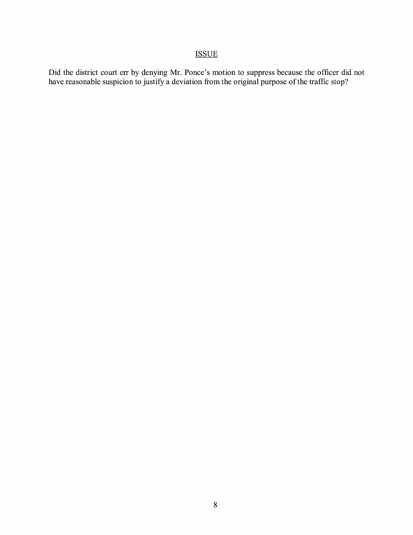## ISSUE

Did the district court err by denying Mr. Ponce's motion to suppress because the officer did not have reasonable suspicion to justify a deviation from the original purpose of the traffic stop?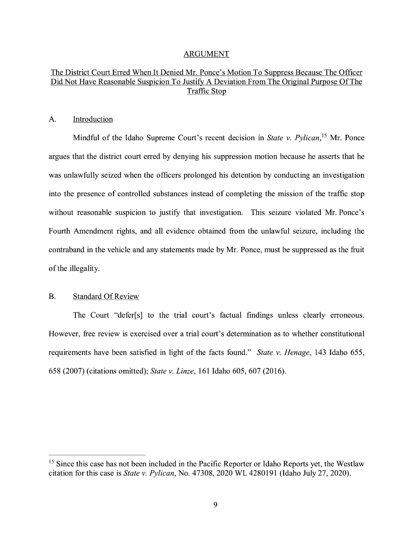#### ARGUMENT

### The District Court Erred When It Denied Mr. Ponce's Motion To Suppress Because The Officer Did Not Have Reasonable Suspicion To Justify A Deviation From The Original Purpose Of The Traffic Stop

#### A. Introduction

Mindful of the Idaho Supreme Court's recent decision in *State v. Pylican,* 15 Mr. Ponce argues that the district court erred by denying his suppression motion because he asserts that he was unlawfully seized when the officers prolonged his detention by conducting an investigation into the presence of controlled substances instead of completing the mission of the traffic stop without reasonable suspicion to justify that investigation. This seizure violated Mr. Ponce's Fourth Amendment rights, and all evidence obtained from the unlawful seizure, including the contraband in the vehicle and any statements made by Mr. Ponce, must be suppressed as the fruit of the illegality.

#### B. Standard Of Review

The Court "defer[s] to the trial court's factual findings unless clearly erroneous. However, free review is exercised over a trial court's determination as to whether constitutional requirements have been satisfied in light of the facts found." *State v. Henage,* 143 Idaho 655, 658 (2007) (citations omitted); *State v. Linze,* 161 Idaho 605, 607 (2016).

<sup>&</sup>lt;sup>15</sup> Since this case has not been included in the Pacific Reporter or Idaho Reports yet, the Westlaw citation for this case is *State v. Pylican,* No. 47308, 2020 WL 4280191 (Idaho July 27, 2020).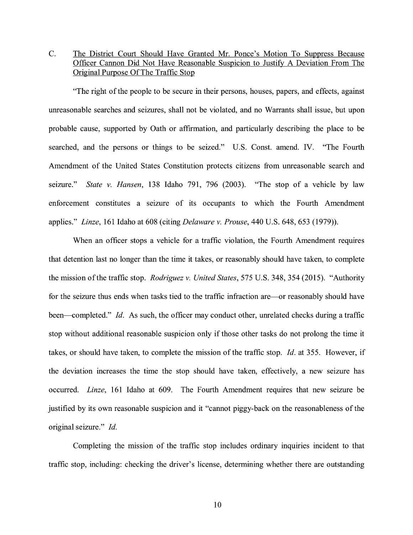## C. The District Court Should Have Granted Mr. Ponce's Motion To Suppress Because Officer Cannon Did Not Have Reasonable Suspicion to Justify A Deviation From The Original Purpose Of The Traffic Stop

"The right of the people to be secure in their persons, houses, papers, and effects, against unreasonable searches and seizures, shall not be violated, and no Warrants shall issue, but upon probable cause, supported by Oath or affirmation, and particularly describing the place to be searched, and the persons or things to be seized." U.S. Const. amend. IV. "The Fourth Amendment of the United States Constitution protects citizens from unreasonable search and seizure." *State v. Hansen,* 138 Idaho 791, 796 (2003). "The stop of a vehicle by law enforcement constitutes a seizure of its occupants to which the Fourth Amendment applies." *Linze,* 161 Idaho at 608 (citing *Delaware v. Prouse,* 440 U.S. 648, 653 (1979)).

When an officer stops a vehicle for a traffic violation, the Fourth Amendment requires that detention last no longer than the time it takes, or reasonably should have taken, to complete the mission of the traffic stop. *Rodriguez v. United States,* 575 U.S. 348, 354 (2015). "Authority for the seizure thus ends when tasks tied to the traffic infraction are—or reasonably should have been—completed." *Id.* As such, the officer may conduct other, unrelated checks during a traffic stop without additional reasonable suspicion only if those other tasks do not prolong the time it takes, or should have taken, to complete the mission of the traffic stop. Id. at 355. However, if the deviation increases the time the stop should have taken, effectively, a new seizure has occurred. *Linze,* 161 Idaho at 609. The Fourth Amendment requires that new seizure be justified by its own reasonable suspicion and it "cannot piggy-back on the reasonableness of the original seizure." *Id.* 

Completing the mission of the traffic stop includes ordinary inquiries incident to that traffic stop, including: checking the driver's license, determining whether there are outstanding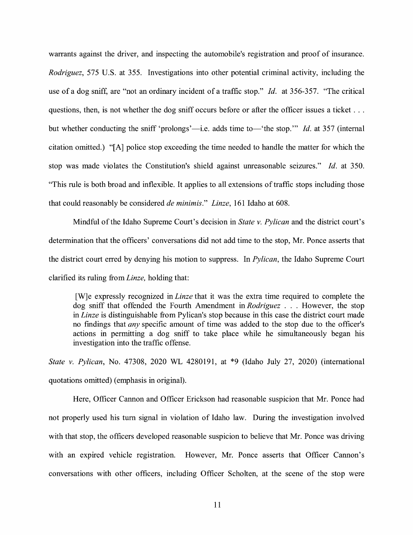warrants against the driver, and inspecting the automobile's registration and proof of insurance. *Rodriguez,* 575 U.S. at 355. Investigations into other potential criminal activity, including the use of a dog sniff, are "not an ordinary incident of a traffic stop." Id. at 356-357. "The critical questions, then, is not whether the dog sniff occurs before or after the officer issues a ticket ... but whether conducting the sniff 'prolongs'—i.e. adds time to—'the stop." *Id.* at 357 (internal citation omitted.) "[A] police stop exceeding the time needed to handle the matter for which the stop was made violates the Constitution's shield against unreasonable seizures." *Id.* at 350. "This rule is both broad and inflexible. It applies to all extensions of traffic stops including those that could reasonably be considered *de minimis." Linze,* 161 Idaho at 608.

Mindful of the Idaho Supreme Court's decision in *State v. Pylican* and the district court's determination that the officers' conversations did not add time to the stop, Mr. Ponce asserts that the district court erred by denying his motion to suppress. In *Pylican,* the Idaho Supreme Court clarified its ruling from *Linze,* holding that:

[W]e expressly recognized in *Linze* that it was the extra time required to complete the dog sniff that offended the Fourth Amendment in *Rodriguez* ... However, the stop in *Linze* is distinguishable from Pylican's stop because in this case the district court made no findings that *any* specific amount of time was added to the stop due to the officer's actions in permitting a dog sniff to take place while he simultaneously began his investigation into the traffic offense.

*State v. Pylican, No.* 47308, 2020 WL 4280191, at \*9 (Idaho July 27, 2020) (international quotations omitted) ( emphasis in original).

Here, Officer Cannon and Officer Erickson had reasonable suspicion that Mr. Ponce had not properly used his tum signal in violation of Idaho law. During the investigation involved with that stop, the officers developed reasonable suspicion to believe that Mr. Ponce was driving with an expired vehicle registration. However, Mr. Ponce asserts that Officer Cannon's conversations with other officers, including Officer Scholten, at the scene of the stop were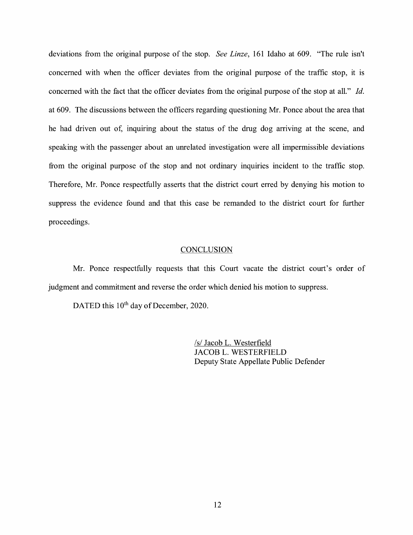deviations from the original purpose of the stop. *See Linze,* 161 Idaho at 609. "The rule isn't concerned with when the officer deviates from the original purpose of the traffic stop, it is concerned with the fact that the officer deviates from the original purpose of the stop at all." *Id.*  at 609. The discussions between the officers regarding questioning Mr. Ponce about the area that he had driven out of, inquiring about the status of the drug dog arriving at the scene, and speaking with the passenger about an unrelated investigation were all impermissible deviations from the original purpose of the stop and not ordinary inquiries incident to the traffic stop. Therefore, Mr. Ponce respectfully asserts that the district court erred by denying his motion to suppress the evidence found and that this case be remanded to the district court for further proceedings.

#### **CONCLUSION**

Mr. Ponce respectfully requests that this Court vacate the district court's order of judgment and commitment and reverse the order which denied his motion to suppress.

DATED this 10<sup>th</sup> day of December, 2020.

/s/ Jacob L. Westerfield JACOB L. WESTERFIELD Deputy State Appellate Public Defender